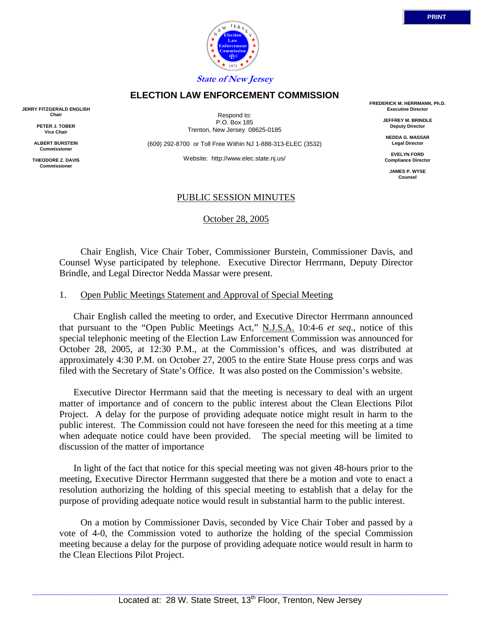

Respond to: P.O. Box 185 Trenton, New Jersey 08625-0185

(609) 292-8700 or Toll Free Within NJ 1-888-313-ELEC (3532)

Website: http://www.elec.state.nj.us/

### PUBLIC SESSION MINUTES

October 28, 2005

 Chair English, Vice Chair Tober, Commissioner Burstein, Commissioner Davis, and Counsel Wyse participated by telephone. Executive Director Herrmann, Deputy Director Brindle, and Legal Director Nedda Massar were present.

#### 1. Open Public Meetings Statement and Approval of Special Meeting

Chair English called the meeting to order, and Executive Director Herrmann announced that pursuant to the "Open Public Meetings Act," N.J.S.A. 10:4-6 *et seq*., notice of this special telephonic meeting of the Election Law Enforcement Commission was announced for October 28, 2005, at 12:30 P.M., at the Commission's offices, and was distributed at approximately 4:30 P.M. on October 27, 2005 to the entire State House press corps and was filed with the Secretary of State's Office. It was also posted on the Commission's website.

Executive Director Herrmann said that the meeting is necessary to deal with an urgent matter of importance and of concern to the public interest about the Clean Elections Pilot Project. A delay for the purpose of providing adequate notice might result in harm to the public interest. The Commission could not have foreseen the need for this meeting at a time when adequate notice could have been provided. The special meeting will be limited to discussion of the matter of importance

In light of the fact that notice for this special meeting was not given 48-hours prior to the meeting, Executive Director Herrmann suggested that there be a motion and vote to enact a resolution authorizing the holding of this special meeting to establish that a delay for the purpose of providing adequate notice would result in substantial harm to the public interest.

 On a motion by Commissioner Davis, seconded by Vice Chair Tober and passed by a vote of 4-0, the Commission voted to authorize the holding of the special Commission meeting because a delay for the purpose of providing adequate notice would result in harm to the Clean Elections Pilot Project.

## **ELECTION LAW ENFORCEMENT COMMISSION**

**JERRY FITZGERALD ENGLISH Chair**

> **PETER J. TOBER Vice Chair**

**ALBERT BURSTEIN Commissioner** 

**THEODORE Z. DAVIS Commissione** 



**FREDERICK M. HERRMANN, Ph.D. Executive Director**

> **JEFFREY M. BRINDLE Deputy Director**

**NEDDA G. MASSAR Legal Director**

**EVELYN FORD Compliance Director**

**JAMES P. WYSE Counsel**